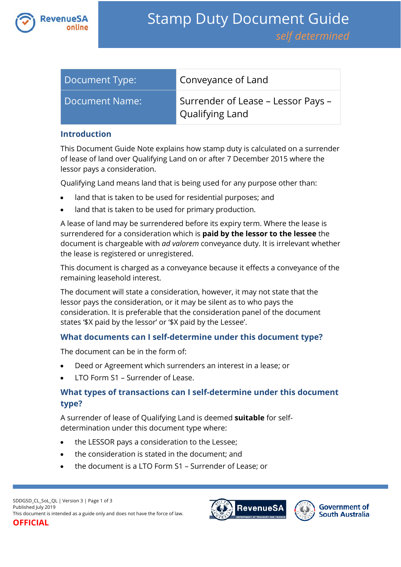

| Document Type: | Conveyance of Land                                    |
|----------------|-------------------------------------------------------|
| Document Name: | Surrender of Lease – Lessor Pays –<br>Qualifying Land |

#### **Introduction**

This Document Guide Note explains how stamp duty is calculated on a surrender of lease of land over Qualifying Land on or after 7 December 2015 where the lessor pays a consideration.

Qualifying Land means land that is being used for any purpose other than:

- land that is taken to be used for residential purposes; and
- land that is taken to be used for primary production.

A lease of land may be surrendered before its expiry term. Where the lease is surrendered for a consideration which is **paid by the lessor to the lessee** the document is chargeable with *ad valorem* conveyance duty. It is irrelevant whether the lease is registered or unregistered.

This document is charged as a conveyance because it effects a conveyance of the remaining leasehold interest.

The document will state a consideration, however, it may not state that the lessor pays the consideration, or it may be silent as to who pays the consideration. It is preferable that the consideration panel of the document states '\$X paid by the lessor' or '\$X paid by the Lessee'.

### **What documents can I self-determine under this document type?**

The document can be in the form of:

- Deed or Agreement which surrenders an interest in a lease; or
- LTO Form S1 Surrender of Lease.

# **What types of transactions can I self-determine under this document type?**

A surrender of lease of Qualifying Land is deemed **suitable** for selfdetermination under this document type where:

- the LESSOR pays a consideration to the Lessee;
- the consideration is stated in the document; and
- the document is a LTO Form S1 Surrender of Lease; or



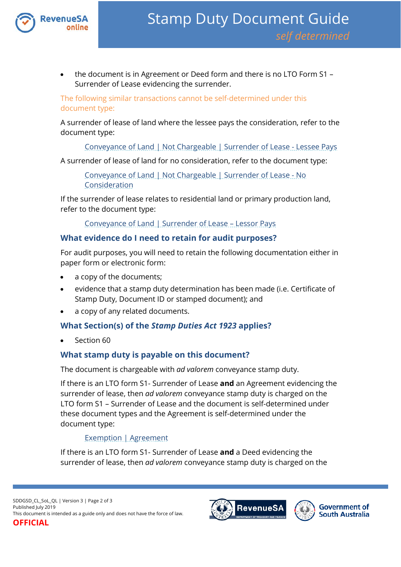

• the document is in Agreement or Deed form and there is no LTO Form S1 – Surrender of Lease evidencing the surrender.

The following similar transactions cannot be self-determined under this document type:

A surrender of lease of land where the lessee pays the consideration, refer to the document type:

[Conveyance of Land | Not Chargeable | Surrender of Lease -](https://www.revenuesa.sa.gov.au/stampduty/stamp-duty-document-guide/self-determined/conveyance-of-land-not-chargeable/sddgsd_cl_nc_sofl-lp) Lessee Pays

A surrender of lease of land for no consideration, refer to the document type:

[Conveyance of Land | Not Chargeable | Surrender of Lease -](https://www.revenuesa.sa.gov.au/stampduty/stamp-duty-document-guide/self-determined/conveyance-of-land-not-chargeable/sddgsd_cl_nc_sofl-nocon) No [Consideration](https://www.revenuesa.sa.gov.au/stampduty/stamp-duty-document-guide/self-determined/conveyance-of-land-not-chargeable/sddgsd_cl_nc_sofl-nocon)

If the surrender of lease relates to residential land or primary production land, refer to the document type:

[Conveyance of Land | Surrender of Lease –](https://www.revenuesa.sa.gov.au/stampduty/stamp-duty-document-guide/self-determined/conveyance-of-land/sddgsd_cl_sofl_rpp) Lessor Pays

### **What evidence do I need to retain for audit purposes?**

For audit purposes, you will need to retain the following documentation either in paper form or electronic form:

- a copy of the documents;
- evidence that a stamp duty determination has been made (i.e. Certificate of Stamp Duty, Document ID or stamped document); and
- a copy of any related documents.

# **What Section(s) of the** *Stamp Duties Act 1923* **applies?**

Section 60

### **What stamp duty is payable on this document?**

The document is chargeable with *ad valorem* conveyance stamp duty.

If there is an LTO form S1- Surrender of Lease **and** an Agreement evidencing the surrender of lease, then *ad valorem* conveyance stamp duty is charged on the LTO form S1 – Surrender of Lease and the document is self-determined under these document types and the Agreement is self-determined under the document type:

### [Exemption | Agreement](https://www.revenuesa.sa.gov.au/stampduty/stamp-duty-document-guide/self-determined/exemptions/sddgsd_ex_a)

If there is an LTO form S1- Surrender of Lease **and** a Deed evidencing the surrender of lease, then *ad valorem* conveyance stamp duty is charged on the